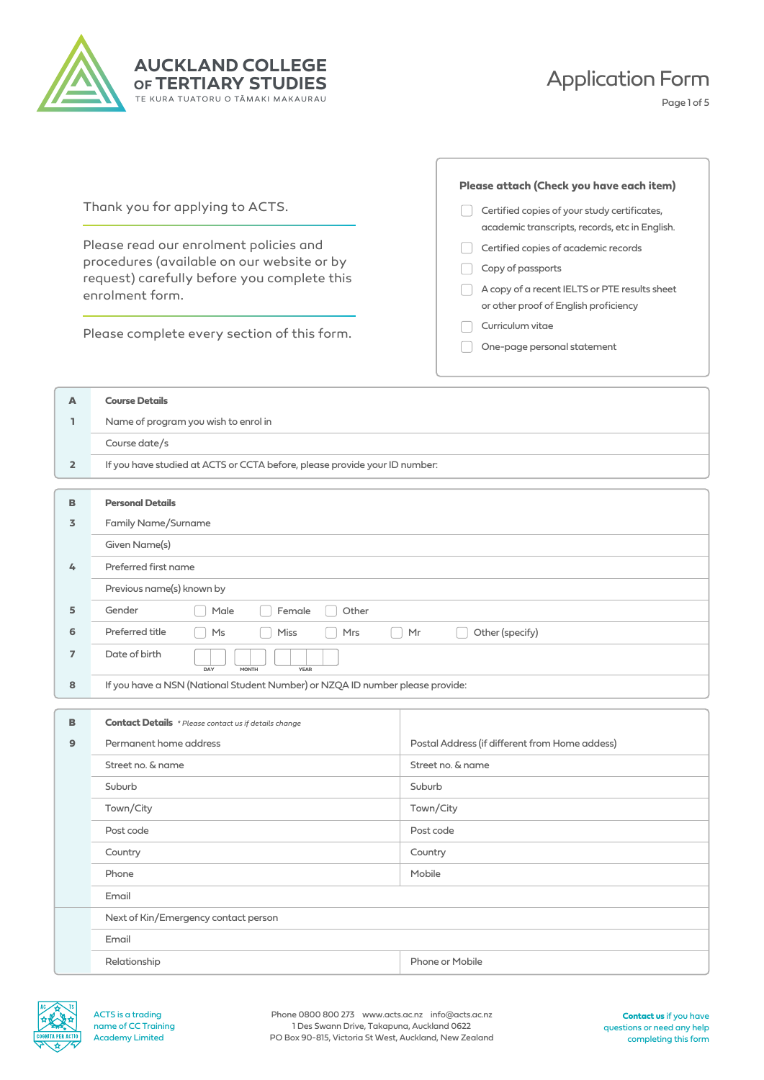

## Application Form

Page 1 of 5

| Thank you for applying to ACTS.<br>Please read our enrolment policies and<br>procedures (available on our website or by<br>request) carefully before you complete this<br>enrolment form. | Certified copies of your study certificates,<br>academic transcripts, records, etc in English.<br>Certified copies of academic records<br>Copy of passports<br>A copy of a recent IELTS or PTE results sheet<br>or other proof of English proficiency |
|-------------------------------------------------------------------------------------------------------------------------------------------------------------------------------------------|-------------------------------------------------------------------------------------------------------------------------------------------------------------------------------------------------------------------------------------------------------|
| Please complete every section of this form.                                                                                                                                               | Curriculum vitae<br>One-page personal statement                                                                                                                                                                                                       |

| A              | <b>Course Details</b>                                                         |  |  |  |  |
|----------------|-------------------------------------------------------------------------------|--|--|--|--|
| ı.             | Name of program you wish to enrol in                                          |  |  |  |  |
|                | Course date/s                                                                 |  |  |  |  |
| $\overline{2}$ | If you have studied at ACTS or CCTA before, please provide your ID number:    |  |  |  |  |
|                |                                                                               |  |  |  |  |
| B              | <b>Personal Details</b>                                                       |  |  |  |  |
| 3              | <b>Family Name/Surname</b>                                                    |  |  |  |  |
|                | Given Name(s)                                                                 |  |  |  |  |
| $\frac{1}{2}$  | Preferred first name                                                          |  |  |  |  |
|                | Previous name(s) known by                                                     |  |  |  |  |
| 5              | Other<br>Gender<br>Male<br>Female                                             |  |  |  |  |
| 6              | Preferred title<br>Other (specify)<br>Miss<br>Ms<br>Mrs<br>Mr                 |  |  |  |  |
| $\overline{7}$ | Date of birth<br><b>YEAR</b><br>DAY<br><b>MONTH</b>                           |  |  |  |  |
| 8              | If you have a NSN (National Student Number) or NZQA ID number please provide: |  |  |  |  |
|                |                                                                               |  |  |  |  |
| B              | <b>Contact Details</b> * Please contact us if details change                  |  |  |  |  |
| $\circ$        | Doctal Address (if different from Home addess)<br>Dermanent home address      |  |  |  |  |

| Permanent home address               | Postal Address (if different from Home addess) |  |  |  |  |
|--------------------------------------|------------------------------------------------|--|--|--|--|
| Street no. & name                    | Street no. & name                              |  |  |  |  |
| Suburb                               | Suburb                                         |  |  |  |  |
| Town/City                            | Town/City                                      |  |  |  |  |
| Post code                            | Post code                                      |  |  |  |  |
| Country                              | Country                                        |  |  |  |  |
| Phone                                | Mobile                                         |  |  |  |  |
| Email                                |                                                |  |  |  |  |
| Next of Kin/Emergency contact person |                                                |  |  |  |  |
| Email                                |                                                |  |  |  |  |
| Relationship                         | Phone or Mobile                                |  |  |  |  |
|                                      |                                                |  |  |  |  |

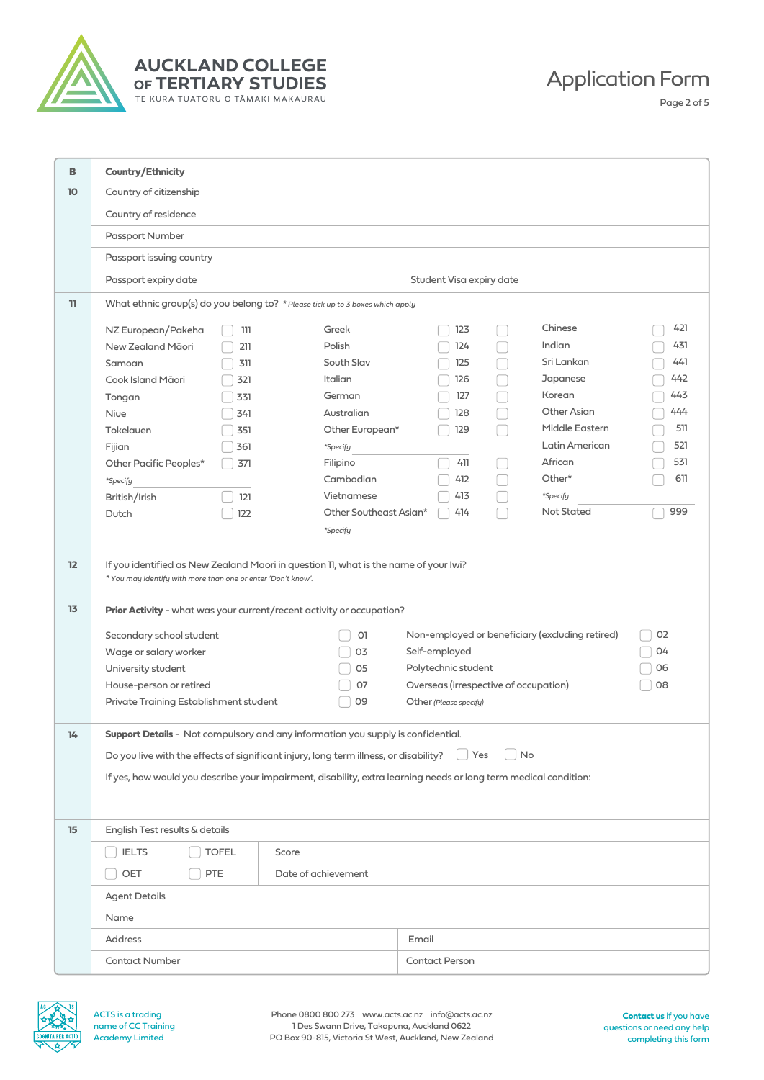

**AUCKLAND COLLEGE OF TERTIARY STUDIES** TE KURA TUATORU O TĀMAKI MAKAURAU

Application Form

Page 2 of 5

| в         | Country/Ethnicity                                                                                                                                    |       |                        |       |                                       |    |                                                 |     |
|-----------|------------------------------------------------------------------------------------------------------------------------------------------------------|-------|------------------------|-------|---------------------------------------|----|-------------------------------------------------|-----|
| <b>10</b> | Country of citizenship                                                                                                                               |       |                        |       |                                       |    |                                                 |     |
|           | Country of residence                                                                                                                                 |       |                        |       |                                       |    |                                                 |     |
|           | Passport Number                                                                                                                                      |       |                        |       |                                       |    |                                                 |     |
|           | Passport issuing country                                                                                                                             |       |                        |       |                                       |    |                                                 |     |
|           |                                                                                                                                                      |       |                        |       | Student Visa expiry date              |    |                                                 |     |
|           | Passport expiry date                                                                                                                                 |       |                        |       |                                       |    |                                                 |     |
| 11        | What ethnic group(s) do you belong to? * Please tick up to 3 boxes which apply                                                                       |       |                        |       |                                       |    |                                                 |     |
|           | NZ European/Pakeha                                                                                                                                   | 111   | Greek                  |       | 123                                   |    | Chinese                                         | 421 |
|           | New Zealand Māori                                                                                                                                    | 211   | Polish                 |       | 124                                   |    | Indian                                          | 431 |
|           | Samoan                                                                                                                                               | 311   | South Slav             |       | 125                                   |    | Sri Lankan                                      | 441 |
|           | Cook Island Māori                                                                                                                                    | 321   | Italian                |       | 126                                   |    | Japanese                                        | 442 |
|           | Tongan                                                                                                                                               | 331   | German                 |       | 127                                   |    | Korean                                          | 443 |
|           | Nive                                                                                                                                                 | 341   | Australian             |       | 128                                   |    | Other Asian                                     | 444 |
|           | Tokelauen                                                                                                                                            | 351   | Other European*        |       | 129                                   |    | Middle Eastern                                  | 511 |
|           | Fijian                                                                                                                                               | 361   | *Specify               |       |                                       |    | Latin American                                  | 521 |
|           | Other Pacific Peoples*                                                                                                                               | 371   | Filipino               |       | 411                                   |    | African                                         | 531 |
|           | *Specify                                                                                                                                             |       | Cambodian              |       | 412                                   |    | Other*                                          | 611 |
|           | British/Irish                                                                                                                                        | 121   | Vietnamese             |       | 413                                   |    | *Specify                                        |     |
|           | Dutch                                                                                                                                                | 122   | Other Southeast Asian* |       | 414                                   |    | <b>Not Stated</b>                               | 999 |
|           |                                                                                                                                                      |       | *Specify               |       |                                       |    |                                                 |     |
|           |                                                                                                                                                      |       |                        |       |                                       |    |                                                 |     |
| 12        | If you identified as New Zealand Maori in question 11, what is the name of your lwi?<br>* You may identify with more than one or enter 'Don't know'. |       |                        |       |                                       |    |                                                 |     |
| 13        | Prior Activity - what was your current/recent activity or occupation?                                                                                |       |                        |       |                                       |    |                                                 |     |
|           | Secondary school student                                                                                                                             |       | O1                     |       |                                       |    | Non-employed or beneficiary (excluding retired) | 02  |
|           | Wage or salary worker                                                                                                                                |       | 03                     |       | Self-employed                         |    |                                                 | 04  |
|           | University student                                                                                                                                   |       | 05                     |       | Polytechnic student                   |    |                                                 | 06  |
|           | House-person or retired                                                                                                                              |       | 07                     |       | Overseas (irrespective of occupation) |    |                                                 | 08  |
|           | Private Training Establishment student                                                                                                               |       | 09                     |       | Other (Please specify)                |    |                                                 |     |
|           |                                                                                                                                                      |       |                        |       |                                       |    |                                                 |     |
| 14        | Support Details - Not compulsory and any information you supply is confidential.                                                                     |       |                        |       |                                       |    |                                                 |     |
|           | Do you live with the effects of significant injury, long term illness, or disability?                                                                |       |                        |       | $\vert$ Yes                           | No |                                                 |     |
|           | If yes, how would you describe your impairment, disability, extra learning needs or long term medical condition:                                     |       |                        |       |                                       |    |                                                 |     |
|           |                                                                                                                                                      |       |                        |       |                                       |    |                                                 |     |
|           |                                                                                                                                                      |       |                        |       |                                       |    |                                                 |     |
| 15        | English Test results & details                                                                                                                       |       |                        |       |                                       |    |                                                 |     |
|           | <b>IELTS</b><br><b>TOFEL</b>                                                                                                                         | Score |                        |       |                                       |    |                                                 |     |
|           | OET<br>PTE                                                                                                                                           |       | Date of achievement    |       |                                       |    |                                                 |     |
|           | <b>Agent Details</b>                                                                                                                                 |       |                        |       |                                       |    |                                                 |     |
|           | Name                                                                                                                                                 |       |                        |       |                                       |    |                                                 |     |
|           | Address                                                                                                                                              |       |                        | Email |                                       |    |                                                 |     |
|           | <b>Contact Number</b>                                                                                                                                |       |                        |       | <b>Contact Person</b>                 |    |                                                 |     |
|           |                                                                                                                                                      |       |                        |       |                                       |    |                                                 |     |



ACTS is a trading name of CC Training Academy Limited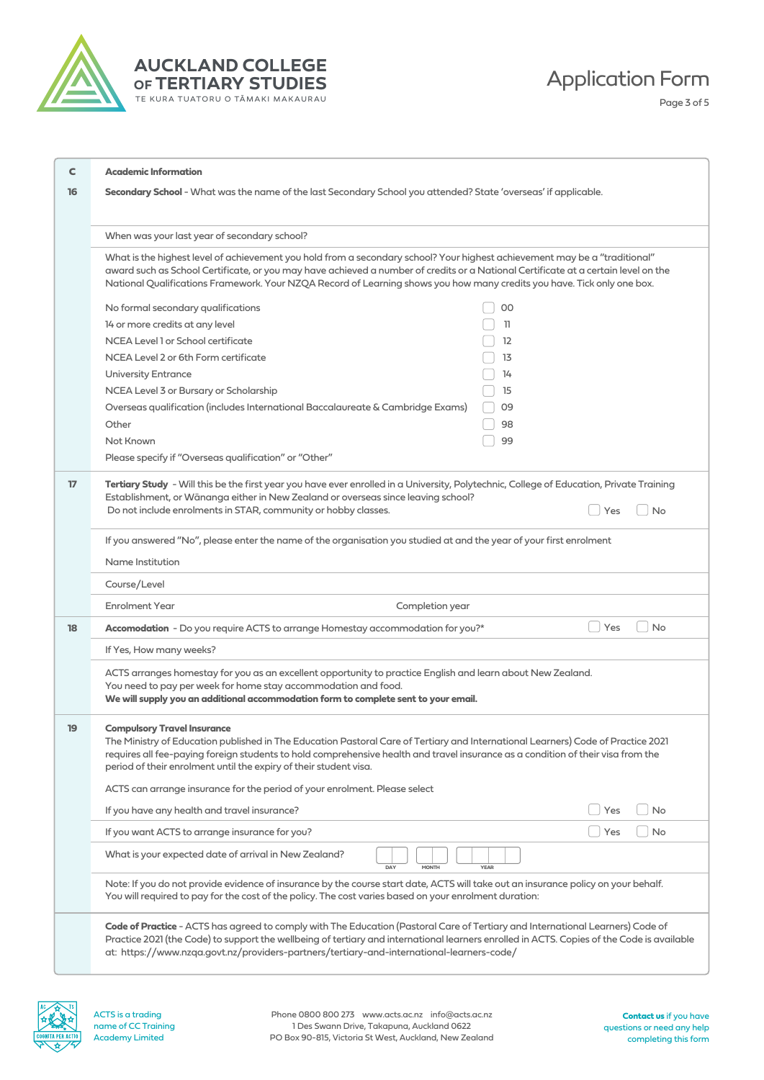

## **AUCKLAND COLLEGE OF TERTIARY STUDIES** TE KURA TUATORU O TĀMAKI MAKAURAU

Application Form

Page 3 of 5

| C<br>16         | <b>Academic Information</b><br>Secondary School - What was the name of the last Secondary School you attended? State 'overseas' if applicable.                                                                                                                                                                                                                                              |           |  |  |  |  |  |  |
|-----------------|---------------------------------------------------------------------------------------------------------------------------------------------------------------------------------------------------------------------------------------------------------------------------------------------------------------------------------------------------------------------------------------------|-----------|--|--|--|--|--|--|
|                 |                                                                                                                                                                                                                                                                                                                                                                                             |           |  |  |  |  |  |  |
|                 | When was your last year of secondary school?                                                                                                                                                                                                                                                                                                                                                |           |  |  |  |  |  |  |
|                 | What is the highest level of achievement you hold from a secondary school? Your highest achievement may be a "traditional"<br>award such as School Certificate, or you may have achieved a number of credits or a National Certificate at a certain level on the<br>National Qualifications Framework. Your NZQA Record of Learning shows you how many credits you have. Tick only one box. |           |  |  |  |  |  |  |
|                 | No formal secondary qualifications<br>OO                                                                                                                                                                                                                                                                                                                                                    |           |  |  |  |  |  |  |
|                 | 14 or more credits at any level<br>11                                                                                                                                                                                                                                                                                                                                                       |           |  |  |  |  |  |  |
|                 | NCEA Level 1 or School certificate<br>12                                                                                                                                                                                                                                                                                                                                                    |           |  |  |  |  |  |  |
|                 | NCEA Level 2 or 6th Form certificate<br>13                                                                                                                                                                                                                                                                                                                                                  |           |  |  |  |  |  |  |
|                 | <b>University Entrance</b><br>14                                                                                                                                                                                                                                                                                                                                                            |           |  |  |  |  |  |  |
|                 | NCEA Level 3 or Bursary or Scholarship<br>15                                                                                                                                                                                                                                                                                                                                                |           |  |  |  |  |  |  |
|                 | Overseas qualification (includes International Baccalaureate & Cambridge Exams)<br>09                                                                                                                                                                                                                                                                                                       |           |  |  |  |  |  |  |
|                 | Other<br>98                                                                                                                                                                                                                                                                                                                                                                                 |           |  |  |  |  |  |  |
|                 | Not Known<br>99                                                                                                                                                                                                                                                                                                                                                                             |           |  |  |  |  |  |  |
|                 | Please specify if "Overseas qualification" or "Other"                                                                                                                                                                                                                                                                                                                                       |           |  |  |  |  |  |  |
| 17 <sub>2</sub> | Tertiary Study - Will this be the first year you have ever enrolled in a University, Polytechnic, College of Education, Private Training<br>Establishment, or Wānanga either in New Zealand or overseas since leaving school?<br>Do not include enrolments in STAR, community or hobby classes.<br>Yes                                                                                      | <b>No</b> |  |  |  |  |  |  |
|                 | If you answered "No", please enter the name of the organisation you studied at and the year of your first enrolment                                                                                                                                                                                                                                                                         |           |  |  |  |  |  |  |
|                 | Name Institution                                                                                                                                                                                                                                                                                                                                                                            |           |  |  |  |  |  |  |
|                 |                                                                                                                                                                                                                                                                                                                                                                                             |           |  |  |  |  |  |  |
|                 | Course/Level<br><b>Enrolment Year</b>                                                                                                                                                                                                                                                                                                                                                       |           |  |  |  |  |  |  |
|                 | Completion year                                                                                                                                                                                                                                                                                                                                                                             |           |  |  |  |  |  |  |
| 18              | <b>No</b><br>Accomodation - Do you require ACTS to arrange Homestay accommodation for you?*<br>Yes                                                                                                                                                                                                                                                                                          |           |  |  |  |  |  |  |
|                 | If Yes, How many weeks?                                                                                                                                                                                                                                                                                                                                                                     |           |  |  |  |  |  |  |
|                 | ACTS arranges homestay for you as an excellent opportunity to practice English and learn about New Zealand.<br>You need to pay per week for home stay accommodation and food.<br>We will supply you an additional accommodation form to complete sent to your email.                                                                                                                        |           |  |  |  |  |  |  |
|                 | <b>Compulsory Travel Insurance</b><br>The Ministry of Education published in The Education Pastoral Care of Tertiary and International Learners) Code of Practice 2021<br>requires all fee-paying foreign students to hold comprehensive health and travel insurance as a condition of their visa from the<br>period of their enrolment until the expiry of their student visa.             |           |  |  |  |  |  |  |
|                 | ACTS can arrange insurance for the period of your enrolment. Please select                                                                                                                                                                                                                                                                                                                  |           |  |  |  |  |  |  |
|                 | If you have any health and travel insurance?<br>Yes                                                                                                                                                                                                                                                                                                                                         | <b>No</b> |  |  |  |  |  |  |
|                 | If you want ACTS to arrange insurance for you?<br>Yes                                                                                                                                                                                                                                                                                                                                       | <b>No</b> |  |  |  |  |  |  |
|                 | What is your expected date of arrival in New Zealand?<br>DAY<br><b>YEAR</b><br><b>MONTH</b>                                                                                                                                                                                                                                                                                                 |           |  |  |  |  |  |  |
|                 | Note: If you do not provide evidence of insurance by the course start date, ACTS will take out an insurance policy on your behalf.<br>You will required to pay for the cost of the policy. The cost varies based on your enrolment duration:                                                                                                                                                |           |  |  |  |  |  |  |
|                 | Code of Practice - ACTS has agreed to comply with The Education (Pastoral Care of Tertiary and International Learners) Code of<br>Practice 2021 (the Code) to support the wellbeing of tertiary and international learners enrolled in ACTS. Copies of the Code is available<br>at: https://www.nzqa.govt.nz/providers-partners/tertiary-and-international-learners-code/                   |           |  |  |  |  |  |  |

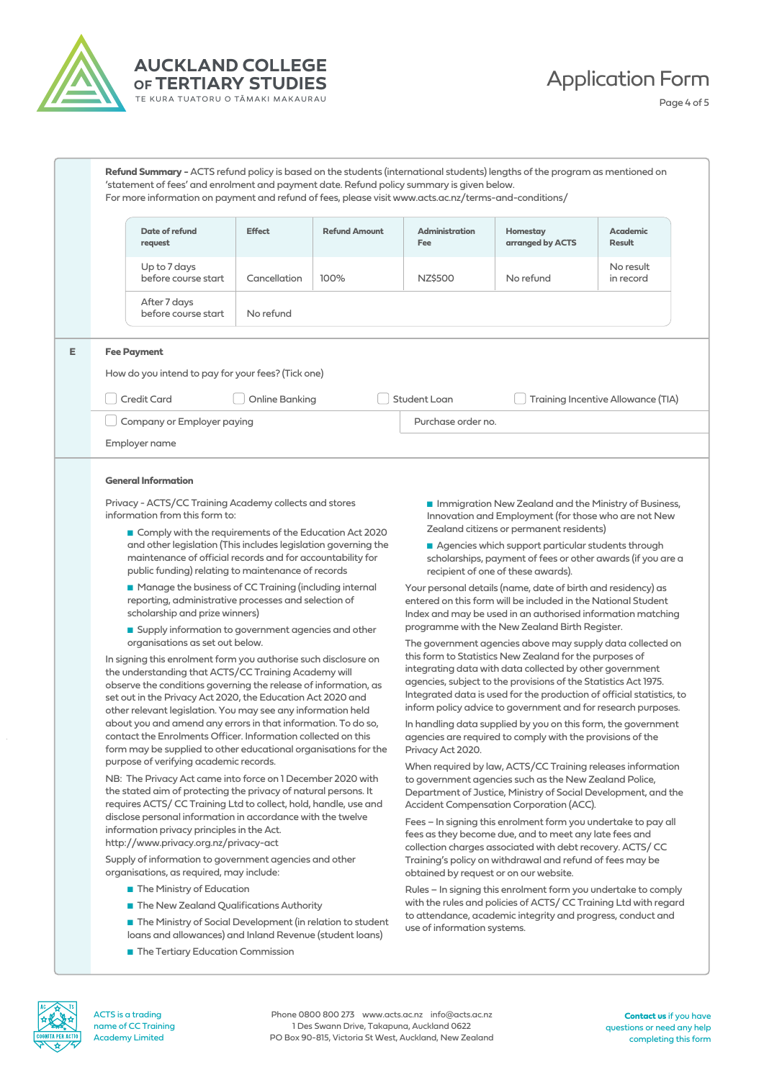



Application Form

Page 4 of 5

|  | Refund Summary - ACTS refund policy is based on the students (international students) lengths of the program as mentioned on<br>'statement of fees' and enrolment and payment date. Refund policy summary is given below.<br>For more information on payment and refund of fees, please visit www.acts.ac.nz/terms-and-conditions/       |                                                        |                                                                                                                                                                                              |                                                                                                                                                                                        |                                                            |                           |  |
|--|------------------------------------------------------------------------------------------------------------------------------------------------------------------------------------------------------------------------------------------------------------------------------------------------------------------------------------------|--------------------------------------------------------|----------------------------------------------------------------------------------------------------------------------------------------------------------------------------------------------|----------------------------------------------------------------------------------------------------------------------------------------------------------------------------------------|------------------------------------------------------------|---------------------------|--|
|  | Date of refund<br>request                                                                                                                                                                                                                                                                                                                | <b>Effect</b>                                          | <b>Refund Amount</b>                                                                                                                                                                         | <b>Administration</b><br>Fee                                                                                                                                                           | Homestay<br>arranged by ACTS                               | <b>Academic</b><br>Result |  |
|  | Up to 7 days<br>before course start                                                                                                                                                                                                                                                                                                      | Cancellation                                           | 100%                                                                                                                                                                                         | NZ\$500                                                                                                                                                                                | No refund                                                  | No result<br>in record    |  |
|  | After 7 days<br>before course start                                                                                                                                                                                                                                                                                                      | No refund                                              |                                                                                                                                                                                              |                                                                                                                                                                                        |                                                            |                           |  |
|  | <b>Fee Payment</b>                                                                                                                                                                                                                                                                                                                       |                                                        |                                                                                                                                                                                              |                                                                                                                                                                                        |                                                            |                           |  |
|  | How do you intend to pay for your fees? (Tick one)                                                                                                                                                                                                                                                                                       |                                                        |                                                                                                                                                                                              |                                                                                                                                                                                        |                                                            |                           |  |
|  | Student Loan<br>Credit Card<br>Online Banking<br>Training Incentive Allowance (TIA)                                                                                                                                                                                                                                                      |                                                        |                                                                                                                                                                                              |                                                                                                                                                                                        |                                                            |                           |  |
|  | Company or Employer paying                                                                                                                                                                                                                                                                                                               |                                                        |                                                                                                                                                                                              |                                                                                                                                                                                        |                                                            |                           |  |
|  |                                                                                                                                                                                                                                                                                                                                          |                                                        |                                                                                                                                                                                              | Purchase order no.                                                                                                                                                                     |                                                            |                           |  |
|  | Employer name                                                                                                                                                                                                                                                                                                                            |                                                        |                                                                                                                                                                                              |                                                                                                                                                                                        |                                                            |                           |  |
|  | <b>General Information</b>                                                                                                                                                                                                                                                                                                               |                                                        |                                                                                                                                                                                              |                                                                                                                                                                                        |                                                            |                           |  |
|  | Privacy - ACTS/CC Training Academy collects and stores<br>information from this form to:                                                                                                                                                                                                                                                 |                                                        | Immigration New Zealand and the Ministry of Business,<br>Innovation and Employment (for those who are not New                                                                                |                                                                                                                                                                                        |                                                            |                           |  |
|  |                                                                                                                                                                                                                                                                                                                                          | Comply with the requirements of the Education Act 2020 |                                                                                                                                                                                              | Zealand citizens or permanent residents)                                                                                                                                               |                                                            |                           |  |
|  | and other legislation (This includes legislation governing the<br>maintenance of official records and for accountability for<br>public funding) relating to maintenance of records<br>■ Manage the business of CC Training (including internal<br>reporting, administrative processes and selection of<br>scholarship and prize winners) |                                                        | Agencies which support particular students through<br>scholarships, payment of fees or other awards (if you are a<br>recipient of one of these awards).                                      |                                                                                                                                                                                        |                                                            |                           |  |
|  |                                                                                                                                                                                                                                                                                                                                          |                                                        | Your personal details (name, date of birth and residency) as<br>entered on this form will be included in the National Student<br>Index and may be used in an authorised information matching |                                                                                                                                                                                        |                                                            |                           |  |
|  | Supply information to government agencies and other                                                                                                                                                                                                                                                                                      |                                                        |                                                                                                                                                                                              |                                                                                                                                                                                        | programme with the New Zealand Birth Register.             |                           |  |
|  | organisations as set out below.                                                                                                                                                                                                                                                                                                          |                                                        |                                                                                                                                                                                              |                                                                                                                                                                                        | The government agencies above may supply data collected on |                           |  |
|  | In signing this enrolment form you authorise such disclosure on<br>the understanding that ACTS/CC Training Academy will<br>observe the conditions governing the relegse of information as                                                                                                                                                |                                                        |                                                                                                                                                                                              | this form to Statistics New Zealand for the purposes of<br>integrating data with data collected by other government<br>agencies, subject to the provisions of the Statistics Act 1975. |                                                            |                           |  |

Integrated data is used for the production of official statistics, to inform policy advice to government and for research purposes. In handling data supplied by you on this form, the government agencies are required to comply with the provisions of the Privacy Act 2020.

When required by law, ACTS/CC Training releases information to government agencies such as the New Zealand Police, Department of Justice, Ministry of Social Development, and the Accident Compensation Corporation (ACC).

Fees – In signing this enrolment form you undertake to pay all fees as they become due, and to meet any late fees and collection charges associated with debt recovery. ACTS/ CC Training's policy on withdrawal and refund of fees may be obtained by request or on our website.

Rules – In signing this enrolment form you undertake to comply with the rules and policies of ACTS/ CC Training Ltd with regard to attendance, academic integrity and progress, conduct and use of information systems.

observe the conditions governing the release of information, as set out in the Privacy Act 2020, the Education Act 2020 and other relevant legislation. You may see any information held about you and amend any errors in that information. To do so, contact the Enrolments Officer. Information collected on this form may be supplied to other educational organisations for the purpose of verifying academic records.

NB: The Privacy Act came into force on 1 December 2020 with the stated aim of protecting the privacy of natural persons. It requires ACTS/ CC Training Ltd to collect, hold, handle, use and disclose personal information in accordance with the twelve information privacy principles in the Act. http://www.privacy.org.nz/privacy-act

Supply of information to government agencies and other organisations, as required, may include:

- The Ministry of Education
- The New Zealand Qualifications Authority
- The Ministry of Social Development (in relation to student loans and allowances) and Inland Revenue (student loans)
- The Tertiary Education Commission



ACTS is a trading name of CC Training Academy Limited

Phone 0800 800 273 www.acts.ac.nz info@acts.ac.nz 1 Des Swann Drive, Takapuna, Auckland 0622 PO Box 90-815, Victoria St West, Auckland, New Zealand

**Contact us** if you have questions or need any help completing this form